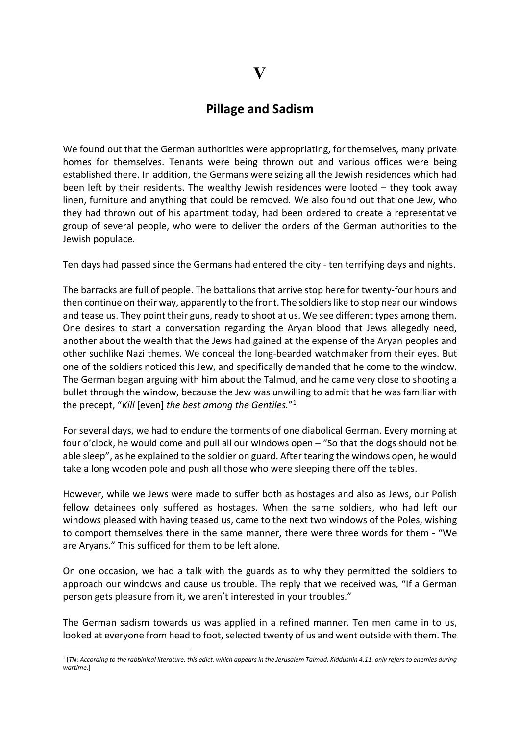## Pillage and Sadism

We found out that the German authorities were appropriating, for themselves, many private homes for themselves. Tenants were being thrown out and various offices were being established there. In addition, the Germans were seizing all the Jewish residences which had been left by their residents. The wealthy Jewish residences were looted – they took away linen, furniture and anything that could be removed. We also found out that one Jew, who they had thrown out of his apartment today, had been ordered to create a representative group of several people, who were to deliver the orders of the German authorities to the Jewish populace.

Ten days had passed since the Germans had entered the city - ten terrifying days and nights.

The barracks are full of people. The battalions that arrive stop here for twenty-four hours and then continue on their way, apparently to the front. The soldiers like to stop near our windows and tease us. They point their guns, ready to shoot at us. We see different types among them. One desires to start a conversation regarding the Aryan blood that Jews allegedly need, another about the wealth that the Jews had gained at the expense of the Aryan peoples and other suchlike Nazi themes. We conceal the long-bearded watchmaker from their eyes. But one of the soldiers noticed this Jew, and specifically demanded that he come to the window. The German began arguing with him about the Talmud, and he came very close to shooting a bullet through the window, because the Jew was unwilling to admit that he was familiar with the precept, "Kill [even] the best among the Gentiles."<sup>1</sup>

For several days, we had to endure the torments of one diabolical German. Every morning at four o'clock, he would come and pull all our windows open – "So that the dogs should not be able sleep", as he explained to the soldier on guard. After tearing the windows open, he would take a long wooden pole and push all those who were sleeping there off the tables.

However, while we Jews were made to suffer both as hostages and also as Jews, our Polish fellow detainees only suffered as hostages. When the same soldiers, who had left our windows pleased with having teased us, came to the next two windows of the Poles, wishing to comport themselves there in the same manner, there were three words for them - "We are Aryans." This sufficed for them to be left alone.

On one occasion, we had a talk with the guards as to why they permitted the soldiers to approach our windows and cause us trouble. The reply that we received was, "If a German person gets pleasure from it, we aren't interested in your troubles."

The German sadism towards us was applied in a refined manner. Ten men came in to us, looked at everyone from head to foot, selected twenty of us and went outside with them. The

<sup>1</sup> [TN: According to the rabbinical literature, this edict, which appears in the Jerusalem Talmud, Kiddushin 4:11, only refers to enemies during wartime.]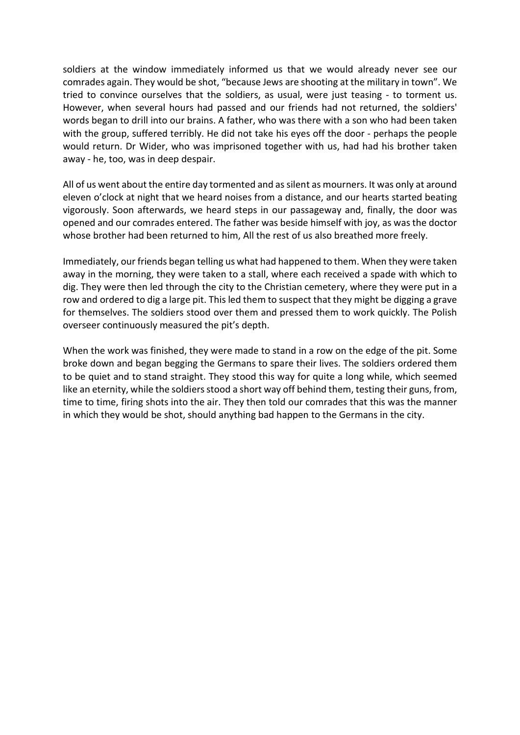soldiers at the window immediately informed us that we would already never see our comrades again. They would be shot, "because Jews are shooting at the military in town". We tried to convince ourselves that the soldiers, as usual, were just teasing - to torment us. However, when several hours had passed and our friends had not returned, the soldiers' words began to drill into our brains. A father, who was there with a son who had been taken with the group, suffered terribly. He did not take his eyes off the door - perhaps the people would return. Dr Wider, who was imprisoned together with us, had had his brother taken away - he, too, was in deep despair.

All of us went about the entire day tormented and as silent as mourners. It was only at around eleven o'clock at night that we heard noises from a distance, and our hearts started beating vigorously. Soon afterwards, we heard steps in our passageway and, finally, the door was opened and our comrades entered. The father was beside himself with joy, as was the doctor whose brother had been returned to him, All the rest of us also breathed more freely.

Immediately, our friends began telling us what had happened to them. When they were taken away in the morning, they were taken to a stall, where each received a spade with which to dig. They were then led through the city to the Christian cemetery, where they were put in a row and ordered to dig a large pit. This led them to suspect that they might be digging a grave for themselves. The soldiers stood over them and pressed them to work quickly. The Polish overseer continuously measured the pit's depth.

When the work was finished, they were made to stand in a row on the edge of the pit. Some broke down and began begging the Germans to spare their lives. The soldiers ordered them to be quiet and to stand straight. They stood this way for quite a long while, which seemed like an eternity, while the soldiers stood a short way off behind them, testing their guns, from, time to time, firing shots into the air. They then told our comrades that this was the manner in which they would be shot, should anything bad happen to the Germans in the city.